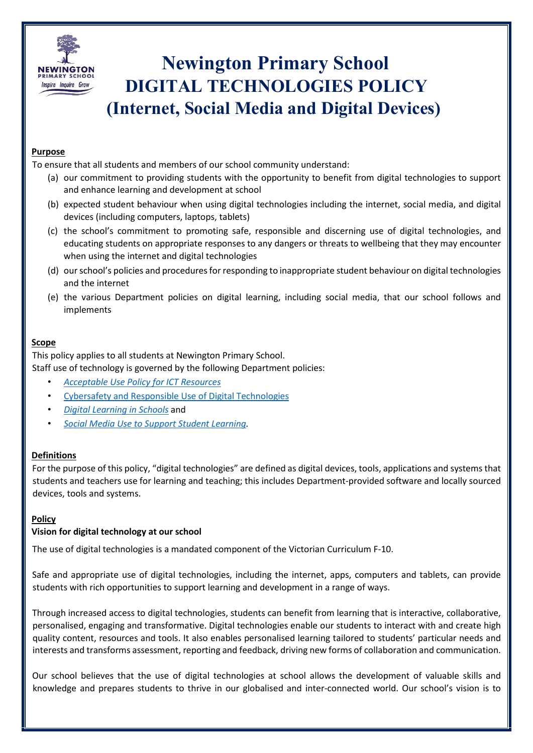

# **Newington Primary School DIGITAL TECHNOLOGIES POLICY (Internet, Social Media and Digital Devices)**

## **Purpose**

To ensure that all students and members of our school community understand:

- (a) our commitment to providing students with the opportunity to benefit from digital technologies to support and enhance learning and development at school
- (b) expected student behaviour when using digital technologies including the internet, social media, and digital devices (including computers, laptops, tablets)
- (c) the school's commitment to promoting safe, responsible and discerning use of digital technologies, and educating students on appropriate responses to any dangers or threats to wellbeing that they may encounter when using the internet and digital technologies
- (d) our school's policies and procedures for responding to inappropriate student behaviour on digital technologies and the internet
- (e) the various Department policies on digital learning, including social media, that our school follows and implements

# **Scope**

This policy applies to all students at Newington Primary School. Staff use of technology is governed by the following Department policies:

- *[Acceptable Use Policy for ICT Resources](https://www2.education.vic.gov.au/pal/ict-acceptable-use/overview)*
- [Cybersafety and Responsible Use of Digital Technologies](https://www2.education.vic.gov.au/pal/cybersafety/policy)
- *[Digital Learning in Schools](https://www2.education.vic.gov.au/pal/digital-learning/policy)* and
- *[Social Media Use to Support Student Learning.](https://www2.education.vic.gov.au/pal/social-media/policy)*

## **Definitions**

For the purpose of this policy, "digital technologies" are defined as digital devices, tools, applications and systems that students and teachers use for learning and teaching; this includes Department-provided software and locally sourced devices, tools and systems.

# **Policy**

## **Vision for digital technology at our school**

The use of digital technologies is a mandated component of the Victorian Curriculum F-10.

Safe and appropriate use of digital technologies, including the internet, apps, computers and tablets, can provide students with rich opportunities to support learning and development in a range of ways.

Through increased access to digital technologies, students can benefit from learning that is interactive, collaborative, personalised, engaging and transformative. Digital technologies enable our students to interact with and create high quality content, resources and tools. It also enables personalised learning tailored to students' particular needs and interests and transforms assessment, reporting and feedback, driving new forms of collaboration and communication.

Our school believes that the use of digital technologies at school allows the development of valuable skills and knowledge and prepares students to thrive in our globalised and inter-connected world. Our school's vision is to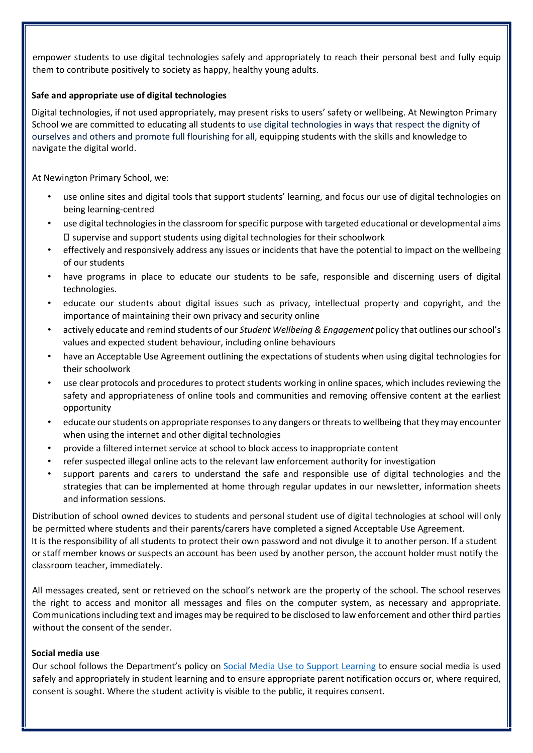empower students to use digital technologies safely and appropriately to reach their personal best and fully equip them to contribute positively to society as happy, healthy young adults.

#### **Safe and appropriate use of digital technologies**

Digital technologies, if not used appropriately, may present risks to users' safety or wellbeing. At Newington Primary School we are committed to educating all students to use digital technologies in ways that respect the dignity of ourselves and others and promote full flourishing for all, equipping students with the skills and knowledge to navigate the digital world.

At Newington Primary School, we:

- use online sites and digital tools that support students' learning, and focus our use of digital technologies on being learning-centred
- use digital technologies in the classroom for specific purpose with targeted educational or developmental aims  $\square$  supervise and support students using digital technologies for their schoolwork
- effectively and responsively address any issues or incidents that have the potential to impact on the wellbeing of our students
- have programs in place to educate our students to be safe, responsible and discerning users of digital technologies.
- educate our students about digital issues such as privacy, intellectual property and copyright, and the importance of maintaining their own privacy and security online
- actively educate and remind students of our *Student Wellbeing & Engagement* policy that outlines our school's values and expected student behaviour, including online behaviours
- have an Acceptable Use Agreement outlining the expectations of students when using digital technologies for their schoolwork
- use clear protocols and procedures to protect students working in online spaces, which includes reviewing the safety and appropriateness of online tools and communities and removing offensive content at the earliest opportunity
- educate our students on appropriate responses to any dangers or threats to wellbeing that they may encounter when using the internet and other digital technologies
- provide a filtered internet service at school to block access to inappropriate content
- refer suspected illegal online acts to the relevant law enforcement authority for investigation
- support parents and carers to understand the safe and responsible use of digital technologies and the strategies that can be implemented at home through regular updates in our newsletter, information sheets and information sessions.

Distribution of school owned devices to students and personal student use of digital technologies at school will only be permitted where students and their parents/carers have completed a signed Acceptable Use Agreement. It is the responsibility of all students to protect their own password and not divulge it to another person. If a student or staff member knows or suspects an account has been used by another person, the account holder must notify the classroom teacher, immediately.

All messages created, sent or retrieved on the school's network are the property of the school. The school reserves the right to access and monitor all messages and files on the computer system, as necessary and appropriate. Communications including text and images may be required to be disclosed to law enforcement and other third parties without the consent of the sender.

#### **Social media use**

Our school follows the Department's policy on [Social Media Use to Support Learning](https://www2.education.vic.gov.au/pal/social-media/policy) [t](https://www2.education.vic.gov.au/pal/social-media/policy)o ensure social media is used safely and appropriately in student learning and to ensure appropriate parent notification occurs or, where required, consent is sought. Where the student activity is visible to the public, it requires consent.